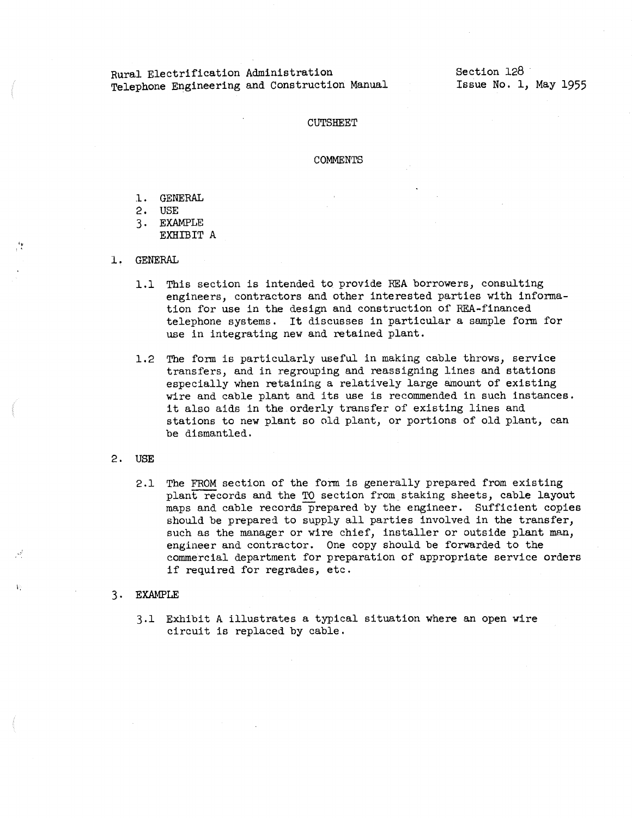## Rural Electrification Administration Telephone Engineering and Construction Manual

Section 128 Issue No. 1, May 1955

## CUTSHEET

## **COMMENTS**

- .l. GENERAL
- 2, USE
- 3. EXAMPLE EXHIBIT A
- 1. GENERAL

 $\frac{e_{\mathbf{w}}}{\epsilon}$  .

'·

- 1.1 This section is intended to provide REA borrowers, consulting engineers, contractors and other interested parties with information for use in the design and construction of REA-financed telephone systems. It discusses in particular a sample fonn for use in integrating new and retained plant.
- 1.2 The form is particularly useful in making cable throws, service transfers, and in regrouping and reassigning lines and stations especially when retaining a relatively large amount of existing wire and cable plant and its use is recommended in such instances. it also aids in the orderly transfer of existing lines and stations to new plant so old plant, or portions of old plant, can be dismantled,
- 2, **USE** 
	- 2,1 The FROM section of the form is generally prepared from existing plant records and the TO section from staking sheets, cable layout maps and cable records prepared by the engineer. Sufficient copies should be prepared to supply all parties involved in the transfer, such as the manager or wire chief, installer or outside plant man, engineer and contractor. One copy should be forwarded to the commercial department for preparation of appropriate service orders if required for regrades, etc.

## 3, **EXAMPLE**

3.1 Exhibit A illustrates a typical situation where an open wire circuit is replaced by cable.